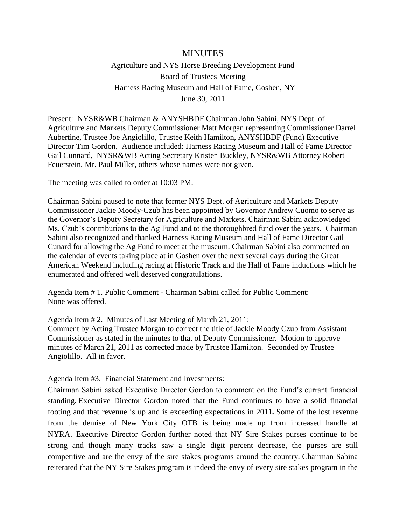## MINUTES

Agriculture and NYS Horse Breeding Development Fund Board of Trustees Meeting Harness Racing Museum and Hall of Fame, Goshen, NY June 30, 2011

Present: NYSR&WB Chairman & ANYSHBDF Chairman John Sabini, NYS Dept. of Agriculture and Markets Deputy Commissioner Matt Morgan representing Commissioner Darrel Aubertine, Trustee Joe Angiolillo, Trustee Keith Hamilton, ANYSHBDF (Fund) Executive Director Tim Gordon, Audience included: Harness Racing Museum and Hall of Fame Director Gail Cunnard, NYSR&WB Acting Secretary Kristen Buckley, NYSR&WB Attorney Robert Feuerstein, Mr. Paul Miller, others whose names were not given.

The meeting was called to order at 10:03 PM.

Chairman Sabini paused to note that former NYS Dept. of Agriculture and Markets Deputy Commissioner Jackie Moody-Czub has been appointed by Governor Andrew Cuomo to serve as the Governor's Deputy Secretary for Agriculture and Markets. Chairman Sabini acknowledged Ms. Czub's contributions to the Ag Fund and to the thoroughbred fund over the years. Chairman Sabini also recognized and thanked Harness Racing Museum and Hall of Fame Director Gail Cunard for allowing the Ag Fund to meet at the museum. Chairman Sabini also commented on the calendar of events taking place at in Goshen over the next several days during the Great American Weekend including racing at Historic Track and the Hall of Fame inductions which he enumerated and offered well deserved congratulations.

Agenda Item # 1. Public Comment - Chairman Sabini called for Public Comment: None was offered.

Agenda Item # 2. Minutes of Last Meeting of March 21, 2011: Comment by Acting Trustee Morgan to correct the title of Jackie Moody Czub from Assistant Commissioner as stated in the minutes to that of Deputy Commissioner. Motion to approve minutes of March 21, 2011 as corrected made by Trustee Hamilton. Seconded by Trustee Angiolillo. All in favor.

Agenda Item #3. Financial Statement and Investments:

Chairman Sabini asked Executive Director Gordon to comment on the Fund's currant financial standing. Executive Director Gordon noted that the Fund continues to have a solid financial footing and that revenue is up and is exceeding expectations in 2011*.* Some of the lost revenue from the demise of New York City OTB is being made up from increased handle at NYRA. Executive Director Gordon further noted that NY Sire Stakes purses continue to be strong and though many tracks saw a single digit percent decrease, the purses are still competitive and are the envy of the sire stakes programs around the country. Chairman Sabina reiterated that the NY Sire Stakes program is indeed the envy of every sire stakes program in the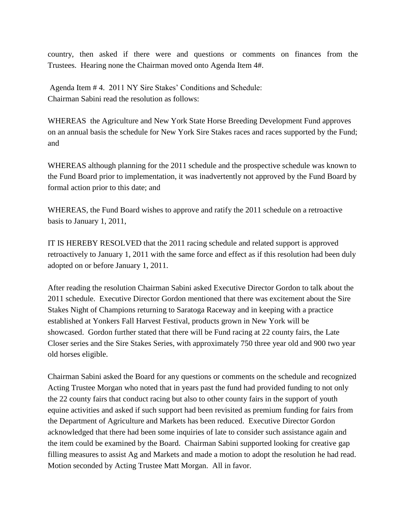country, then asked if there were and questions or comments on finances from the Trustees. Hearing none the Chairman moved onto Agenda Item 4#.

Agenda Item # 4. 2011 NY Sire Stakes' Conditions and Schedule: Chairman Sabini read the resolution as follows:

WHEREAS the Agriculture and New York State Horse Breeding Development Fund approves on an annual basis the schedule for New York Sire Stakes races and races supported by the Fund; and

WHEREAS although planning for the 2011 schedule and the prospective schedule was known to the Fund Board prior to implementation, it was inadvertently not approved by the Fund Board by formal action prior to this date; and

WHEREAS, the Fund Board wishes to approve and ratify the 2011 schedule on a retroactive basis to January 1, 2011,

IT IS HEREBY RESOLVED that the 2011 racing schedule and related support is approved retroactively to January 1, 2011 with the same force and effect as if this resolution had been duly adopted on or before January 1, 2011.

After reading the resolution Chairman Sabini asked Executive Director Gordon to talk about the 2011 schedule. Executive Director Gordon mentioned that there was excitement about the Sire Stakes Night of Champions returning to Saratoga Raceway and in keeping with a practice established at Yonkers Fall Harvest Festival, products grown in New York will be showcased. Gordon further stated that there will be Fund racing at 22 county fairs, the Late Closer series and the Sire Stakes Series, with approximately 750 three year old and 900 two year old horses eligible.

Chairman Sabini asked the Board for any questions or comments on the schedule and recognized Acting Trustee Morgan who noted that in years past the fund had provided funding to not only the 22 county fairs that conduct racing but also to other county fairs in the support of youth equine activities and asked if such support had been revisited as premium funding for fairs from the Department of Agriculture and Markets has been reduced. Executive Director Gordon acknowledged that there had been some inquiries of late to consider such assistance again and the item could be examined by the Board. Chairman Sabini supported looking for creative gap filling measures to assist Ag and Markets and made a motion to adopt the resolution he had read. Motion seconded by Acting Trustee Matt Morgan. All in favor.